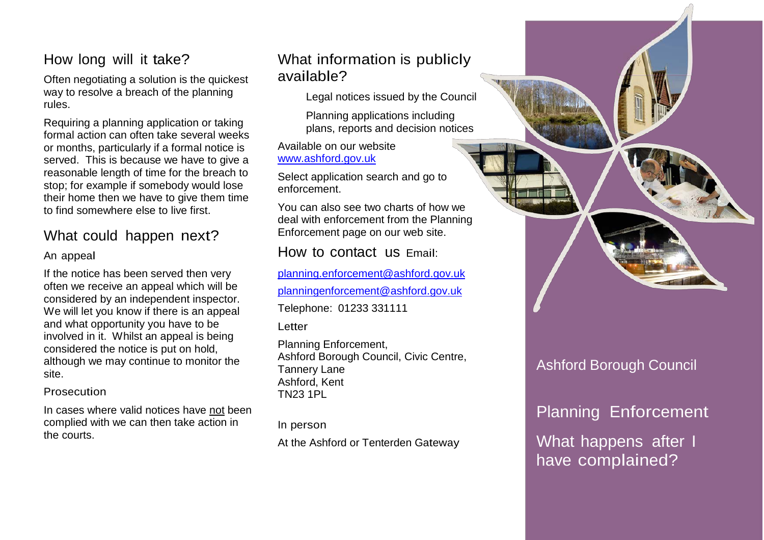## How long will it take?

Often negotiating a solution is the quickest way to resolve a breach of the planning rules.

Requiring a planning application or taking formal action can often take several weeks or months, particularly if a formal notice is served. This is because we have to give a reasonable length of t[ime](http://www.ashford.gov.uk/) for the breach to stop; for example if s[ome](http://www.ashford.gov.uk/)body would lose their home then we h[ave](http://www.ashford.gov.uk/) to give them time to find somewhere else [to](http://www.ashford.gov.uk/) live first.

# What could ha[ppe](http://www.ashford.gov.uk/)n next?

#### An appeal

If the notice has been served then very often we receive an appeal which will be considered by an independent inspector. We will let you know if there is an appeal and what opportunity you have to be involved in it. Whilst an appeal is being considered the notice is put on hold, although we may continue to monitor the site.

**Prosecution** 

In cases where valid notices have not been complied with we can then take action in the courts.

# What information is publicly available?

Legal notices issued by the Council

Planning applications including plans, reports and decision notices

[Ava](mailto:planning.enforcement@ashford.gov.uk)ilable on our website [www](mailto:planning.enforcement@ashford.gov.uk).ashford.gov.uk

[Sele](mailto:planning.enforcement@ashford.gov.uk)ct application search and go to [enfo](mailto:planning.enforcement@ashford.gov.uk)rcement.

[You](mailto:planning.enforcement@ashford.gov.uk) can also see two charts of how we [deal](mailto:planning.enforcement@ashford.gov.uk) with enforcement from the Planning [Enfo](mailto:planning.enforcement@ashford.gov.uk)rcement page on our web site.

## [How](mailto:planning.enforcement@ashford.gov.uk) to contact us Email:

[planning.enforcement@ashford.gov.uk](mailto:planning.enforcement@ashford.gov.uk)

[planningenforcement@ashford.gov.uk](mailto:planningenforcement@ashford.gov.uk)

Telephone: 01233 331111

**Letter** 

Planning Enforcement, Ashford Borough Council, Civic Centre, Tannery Lane Ashford, Kent TN23 1PL

In person

At the Ashford or Tenterden Gateway

# Ashford Borough Council

# Planning Enforcement

What happens after I have complained?